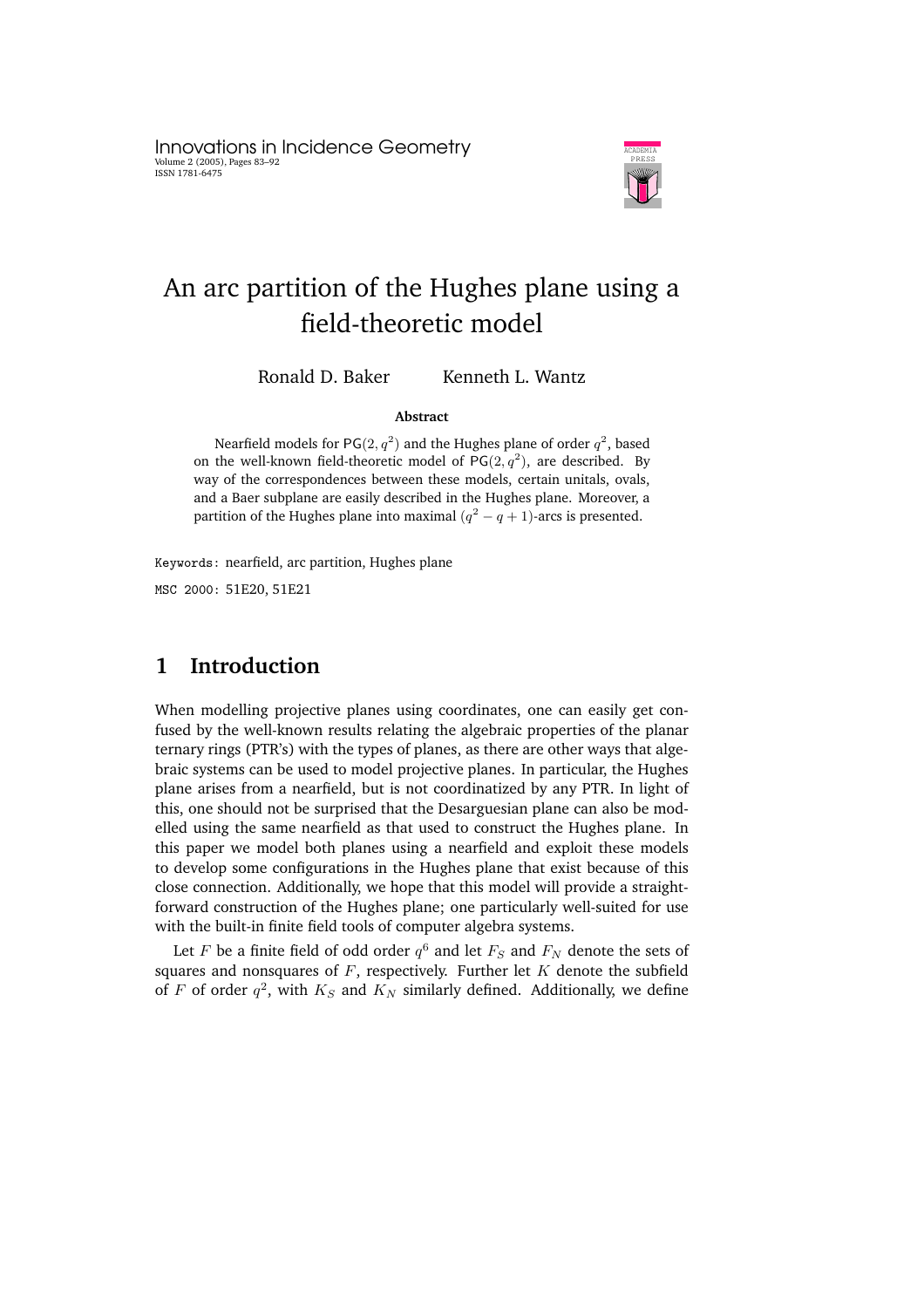Innovations in Incidence Geometry Volume 2 (2005), Pages 83–92 ISSN 1781-6475



# An arc partition of the Hughes plane using a field-theoretic model

Ronald D. Baker Kenneth L. Wantz

#### **Abstract**

Nearfield models for PG $(2, q^2)$  and the Hughes plane of order  $q^2$ , based on the well-known field-theoretic model of  $PG(2, q^2)$ , are described. By way of the correspondences between these models, certain unitals, ovals, and a Baer subplane are easily described in the Hughes plane. Moreover, a partition of the Hughes plane into maximal  $(q^2-q+1)$ -arcs is presented.

Keywords: nearfield, arc partition, Hughes plane

MSC 2000: 51E20, 51E21

## **1 Introduction**

When modelling projective planes using coordinates, one can easily get confused by the well-known results relating the algebraic properties of the planar ternary rings (PTR's) with the types of planes, as there are other ways that algebraic systems can be used to model projective planes. In particular, the Hughes plane arises from a nearfield, but is not coordinatized by any PTR. In light of this, one should not be surprised that the Desarguesian plane can also be modelled using the same nearfield as that used to construct the Hughes plane. In this paper we model both planes using a nearfield and exploit these models to develop some configurations in the Hughes plane that exist because of this close connection. Additionally, we hope that this model will provide a straightforward construction of the Hughes plane; one particularly well-suited for use with the built-in finite field tools of computer algebra systems.

Let  $F$  be a finite field of odd order  $q^6$  and let  $F_S$  and  $F_N$  denote the sets of squares and nonsquares of  $F$ , respectively. Further let  $K$  denote the subfield of F of order  $q^2$ , with  $K_S$  and  $K_N$  similarly defined. Additionally, we define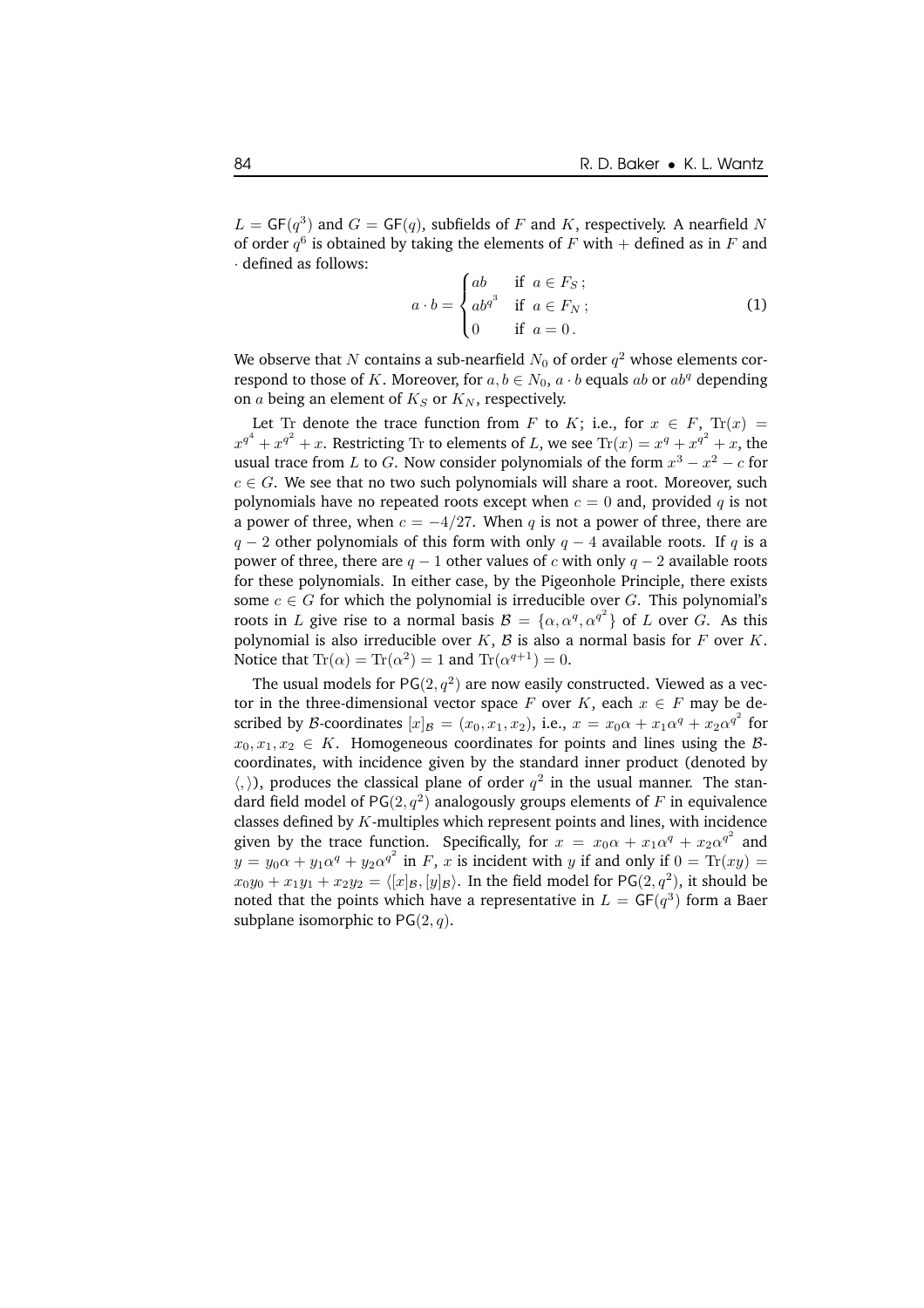$L = GF(q^3)$  and  $G = GF(q)$ , subfields of F and K, respectively. A nearfield N of order  $q^6$  is obtained by taking the elements of F with  $+$  defined as in F and · defined as follows:

$$
a \cdot b = \begin{cases} ab & \text{if } a \in F_S; \\ ab^{q^3} & \text{if } a \in F_N; \\ 0 & \text{if } a = 0. \end{cases}
$$
 (1)

We observe that  $N$  contains a sub-nearfield  $N_0$  of order  $q^2$  whose elements correspond to those of K. Moreover, for  $a, b \in N_0$ ,  $a \cdot b$  equals ab or  $ab^q$  depending on  $a$  being an element of  $K_S$  or  $K_N$ , respectively.

Let Tr denote the trace function from F to K; i.e., for  $x \in F$ ,  $Tr(x) =$  $x^{q^4} + x^{q^2} + x$ . Restricting Tr to elements of L, we see Tr $(x) = x^q + x^{q^2} + x$ , the usual trace from L to G. Now consider polynomials of the form  $x^3 - x^2 - c$  for  $c \in G$ . We see that no two such polynomials will share a root. Moreover, such polynomials have no repeated roots except when  $c = 0$  and, provided q is not a power of three, when  $c = -4/27$ . When q is not a power of three, there are  $q - 2$  other polynomials of this form with only  $q - 4$  available roots. If q is a power of three, there are  $q - 1$  other values of c with only  $q - 2$  available roots for these polynomials. In either case, by the Pigeonhole Principle, there exists some  $c \in G$  for which the polynomial is irreducible over G. This polynomial's roots in L give rise to a normal basis  $B = {\alpha, \alpha^q, \alpha^{q^2}}$  of L over G. As this polynomial is also irreducible over  $K$ ,  $\beta$  is also a normal basis for  $F$  over  $K$ . Notice that  $\text{Tr}(\alpha) = \text{Tr}(\alpha^2) = 1$  and  $\text{Tr}(\alpha^{q+1}) = 0$ .

The usual models for PG $(2, q^2)$  are now easily constructed. Viewed as a vector in the three-dimensional vector space F over K, each  $x \in F$  may be described by B-coordinates  $[x]_B = (x_0, x_1, x_2)$ , i.e.,  $x = x_0 \alpha + x_1 \alpha^q + x_2 \alpha^{q^2}$  for  $x_0, x_1, x_2 \in K$ . Homogeneous coordinates for points and lines using the Bcoordinates, with incidence given by the standard inner product (denoted by  $\langle , \rangle$ ), produces the classical plane of order  $q^2$  in the usual manner. The standard field model of PG $(2, q^2)$  analogously groups elements of F in equivalence classes defined by K-multiples which represent points and lines, with incidence given by the trace function. Specifically, for  $x = x_0 \alpha + x_1 \alpha^q + x_2 \alpha^{q^2}$  and  $y = y_0 \alpha + y_1 \alpha^q + y_2 \alpha^{q^2}$  in F, x is incident with y if and only if  $0 = \text{Tr}(xy) = 0$  $x_0y_0 + x_1y_1 + x_2y_2 = \langle [x]_B, [y]_B \rangle$ . In the field model for PG(2,  $q^2$ ), it should be noted that the points which have a representative in  $L = \mathsf{GF}(q^3)$  form a Baer subplane isomorphic to  $PG(2, q)$ .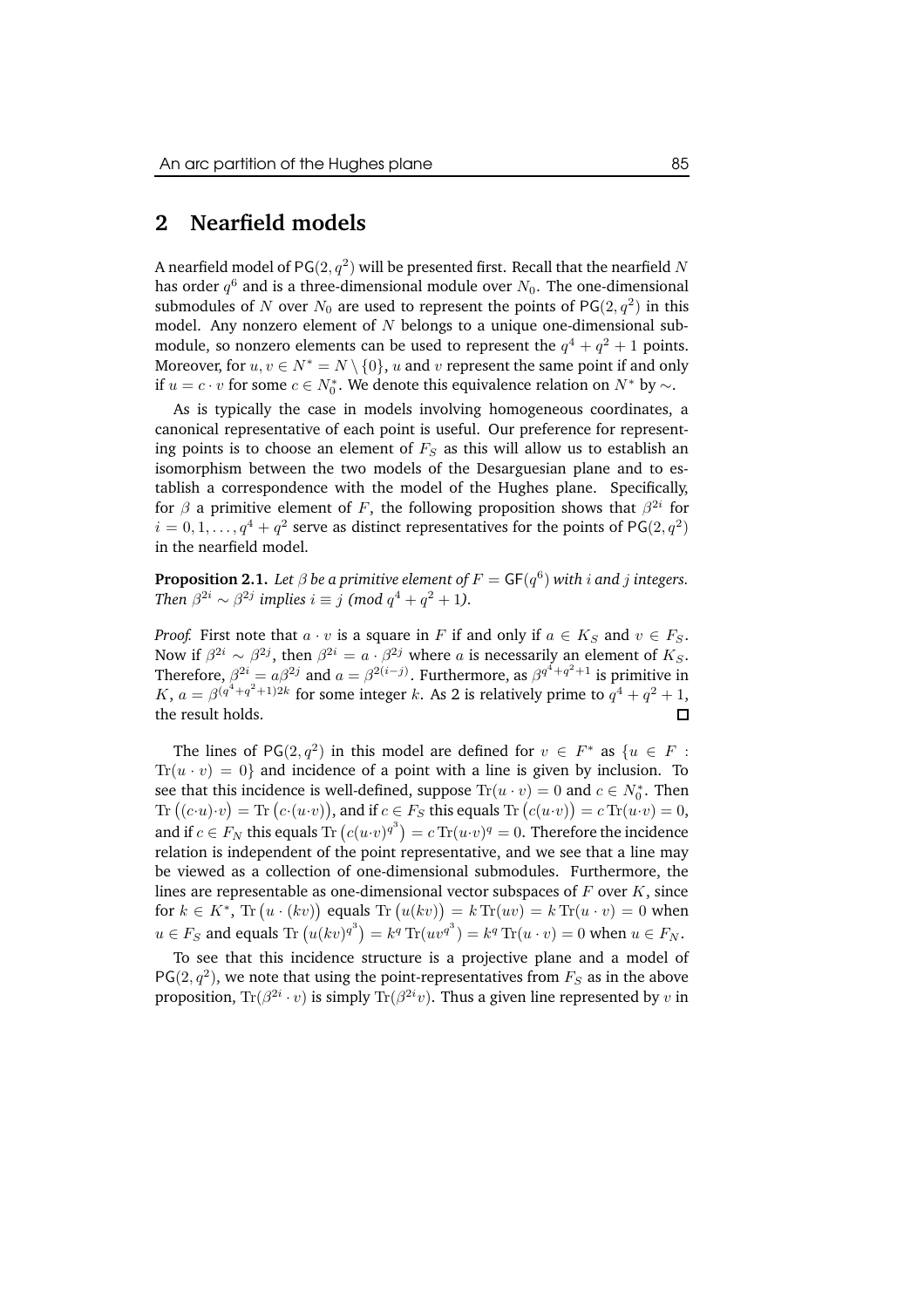#### **2 Nearfield models**

A nearfield model of PG $(2,q^2)$  will be presented first. Recall that the nearfield  $N$ has order  $q^6$  and is a three-dimensional module over  $N_0.$  The one-dimensional submodules of N over  $N_0$  are used to represent the points of PG(2,  $q^2$ ) in this model. Any nonzero element of  $N$  belongs to a unique one-dimensional submodule, so nonzero elements can be used to represent the  $q^4 + q^2 + 1$  points. Moreover, for  $u, v \in N^* = N \setminus \{0\}$ , u and v represent the same point if and only if  $u = c \cdot v$  for some  $c \in N_0^*$ . We denote this equivalence relation on  $N^*$  by  $\sim$ .

As is typically the case in models involving homogeneous coordinates, a canonical representative of each point is useful. Our preference for representing points is to choose an element of  $F<sub>S</sub>$  as this will allow us to establish an isomorphism between the two models of the Desarguesian plane and to establish a correspondence with the model of the Hughes plane. Specifically, for  $\beta$  a primitive element of F, the following proposition shows that  $\beta^{2i}$  for  $i = 0, 1, \ldots, q^4 + q^2$  serve as distinct representatives for the points of PG(2,  $q^2$ ) in the nearfield model.

**Proposition 2.1.** Let  $\beta$  be a primitive element of  $F = \mathsf{GF}(q^6)$  with  $i$  and  $j$  integers. *Then*  $\beta^{2i} \sim \beta^{2j}$  *implies*  $i \equiv j \pmod{q^4 + q^2 + 1}$ .

*Proof.* First note that  $a \cdot v$  is a square in F if and only if  $a \in K_S$  and  $v \in F_S$ . Now if  $\beta^{2i} \sim \beta^{2j}$ , then  $\beta^{2i} = a \cdot \beta^{2j}$  where a is necessarily an element of  $K_S$ . Therefore,  $\beta^{2i} = a\beta^{2j}$  and  $a = \beta^{2(i-j)}$ . Furthermore, as  $\beta^{q^4+q^2+1}$  is primitive in K,  $a = \beta^{(q^4+q^2+1)2k}$  for some integer k. As 2 is relatively prime to  $q^4 + q^2 + 1$ , the result holds.

The lines of PG(2, $q^2$ ) in this model are defined for  $v \in F^*$  as  $\{u \in F :$  $Tr(u \cdot v) = 0$  and incidence of a point with a line is given by inclusion. To see that this incidence is well-defined, suppose  $\text{Tr}(u \cdot v) = 0$  and  $c \in N_0^*$ . Then Tr  $((c \cdot u) \cdot v) =$  Tr  $(c \cdot (u \cdot v))$ , and if  $c \in F_S$  this equals Tr  $(c(u \cdot v)) = c$  Tr $(u \cdot v) = 0$ , and if  $c \in F_N$  this equals  $\text{Tr}\left(c(u \cdot v)^{q^3}\right) = c \text{Tr}(u \cdot v)^q = 0$ . Therefore the incidence relation is independent of the point representative, and we see that a line may be viewed as a collection of one-dimensional submodules. Furthermore, the lines are representable as one-dimensional vector subspaces of  $F$  over  $K$ , since for  $k \in K^*$ , Tr  $(u \cdot (kv))$  equals Tr  $(u(kv)) = k$  Tr $(uv) = k$  Tr $(u \cdot v) = 0$  when  $u \in F_S$  and equals  $\text{Tr}\left(u(kv)^{q^3}\right) = k^q \text{Tr}(uv^{q^3}) = k^q \text{Tr}(u \cdot v) = 0$  when  $u \in F_N$ .

To see that this incidence structure is a projective plane and a model of PG(2, $q^2$ ), we note that using the point-representatives from  $F_S$  as in the above proposition,  $\text{Tr}(\beta^{2i} \cdot v)$  is simply  $\text{Tr}(\beta^{2i} v)$ . Thus a given line represented by  $v$  in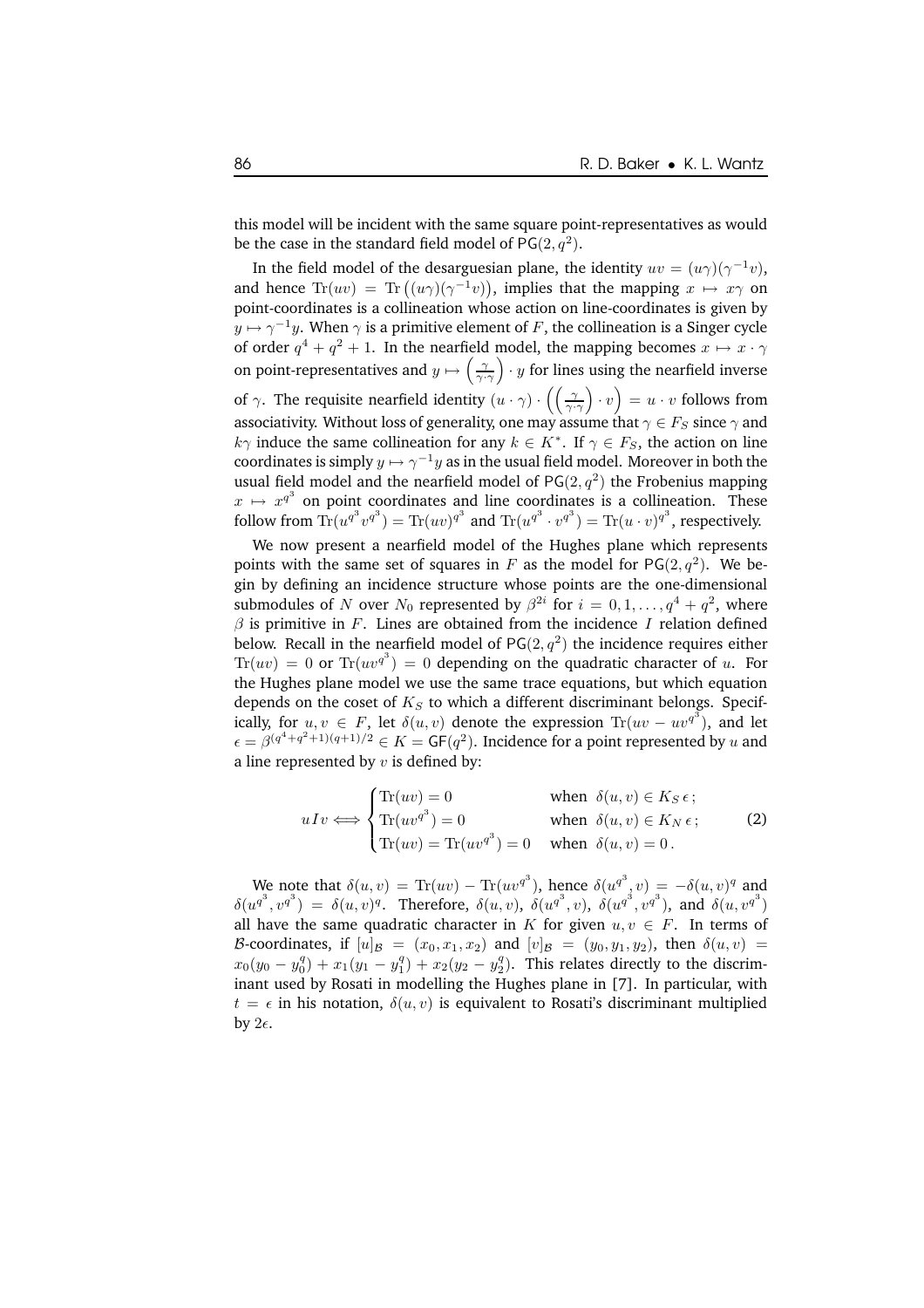this model will be incident with the same square point-representatives as would be the case in the standard field model of  $PG(2, q^2)$ .

In the field model of the desarguesian plane, the identity  $uv = (u\gamma)(\gamma^{-1}v)$ , and hence  $\text{Tr}(uv) = \text{Tr}\left((u\gamma)(\gamma^{-1}v)\right)$ , implies that the mapping  $x \mapsto x\gamma$  on point-coordinates is a collineation whose action on line-coordinates is given by  $y \mapsto \gamma^{-1}y$ . When  $\gamma$  is a primitive element of F, the collineation is a Singer cycle of order  $q^4 + q^2 + 1$ . In the nearfield model, the mapping becomes  $x \mapsto x \cdot \gamma$ on point-representatives and  $y \mapsto \left(\frac{\gamma}{\gamma \cdot \gamma}\right)$  $\big) \cdot y$  for lines using the nearfield inverse of  $\gamma$ . The requisite nearfield identity  $(u \cdot \gamma) \cdot \left( \left( \frac{\gamma}{\gamma \cdot \gamma} \right) \right)$  $(v) \cdot v = u \cdot v$  follows from associativity. Without loss of generality, one may assume that  $\gamma \in F_S$  since  $\gamma$  and  $k\gamma$  induce the same collineation for any  $k \in K^*$ . If  $\gamma \in F_S$ , the action on line coordinates is simply  $y \mapsto \gamma^{-1} y$  as in the usual field model. Moreover in both the usual field model and the nearfield model of  $PG(2,q^2)$  the Frobenius mapping  $x \mapsto x^{q^3}$  on point coordinates and line coordinates is a collineation. These follow from  $\text{Tr}(u^{q^3}v^{q^3}) = \text{Tr}(uv)^{q^3}$  and  $\text{Tr}(u^{q^3} \cdot v^{q^3}) = \text{Tr}(u \cdot v)^{q^3}$ , respectively.

We now present a nearfield model of the Hughes plane which represents points with the same set of squares in F as the model for  $PG(2, q^2)$ . We begin by defining an incidence structure whose points are the one-dimensional submodules of N over  $N_0$  represented by  $\beta^{2i}$  for  $i=0,1,\ldots,q^4+q^2,$  where  $\beta$  is primitive in F. Lines are obtained from the incidence I relation defined below. Recall in the nearfield model of  $PG(2, q^2)$  the incidence requires either  $\text{Tr}(uv) = 0$  or  $\text{Tr}(uv^{q^3}) = 0$  depending on the quadratic character of u. For the Hughes plane model we use the same trace equations, but which equation depends on the coset of  $K_S$  to which a different discriminant belongs. Specifically, for  $u, v \in F$ , let  $\delta(u, v)$  denote the expression  $Tr(uv - uv^{q^3})$ , and let  $\epsilon = \beta^{(q^4+q^2+1)(q+1)/2} \in K = \mathsf{GF}(q^2)$ . Incidence for a point represented by u and a line represented by  $v$  is defined by:

$$
uIv \Longleftrightarrow \begin{cases} \text{Tr}(uv) = 0 & \text{when } \delta(u, v) \in K_S \epsilon \, ; \\ \text{Tr}(uv^{q^3}) = 0 & \text{when } \delta(u, v) \in K_N \epsilon \, ; \\ \text{Tr}(uv) = \text{Tr}(uv^{q^3}) = 0 & \text{when } \delta(u, v) = 0 \, . \end{cases}
$$
 (2)

We note that  $\delta(u, v) = \text{Tr}(uv) - \text{Tr}(uv^{q^3})$ , hence  $\delta(u^{q^3}, v) = -\delta(u, v)^q$  and  $\delta(u^{q^3}, v^{q^3}) = \delta(u, v)^q$ . Therefore,  $\delta(u, v)$ ,  $\delta(u^{q^3}, v)$ ,  $\delta(u^{q^3}, v^{q^3})$ , and  $\delta(u, v^{q^3})$ all have the same quadratic character in K for given  $u, v \in F$ . In terms of B-coordinates, if  $[u]_B = (x_0, x_1, x_2)$  and  $[v]_B = (y_0, y_1, y_2)$ , then  $\delta(u, v)$  $x_0(y_0 - y_0^q) + x_1(y_1 - y_1^q) + x_2(y_2 - y_2^q)$ . This relates directly to the discriminant used by Rosati in modelling the Hughes plane in [7]. In particular, with  $t = \epsilon$  in his notation,  $\delta(u, v)$  is equivalent to Rosati's discriminant multiplied by  $2\epsilon$ .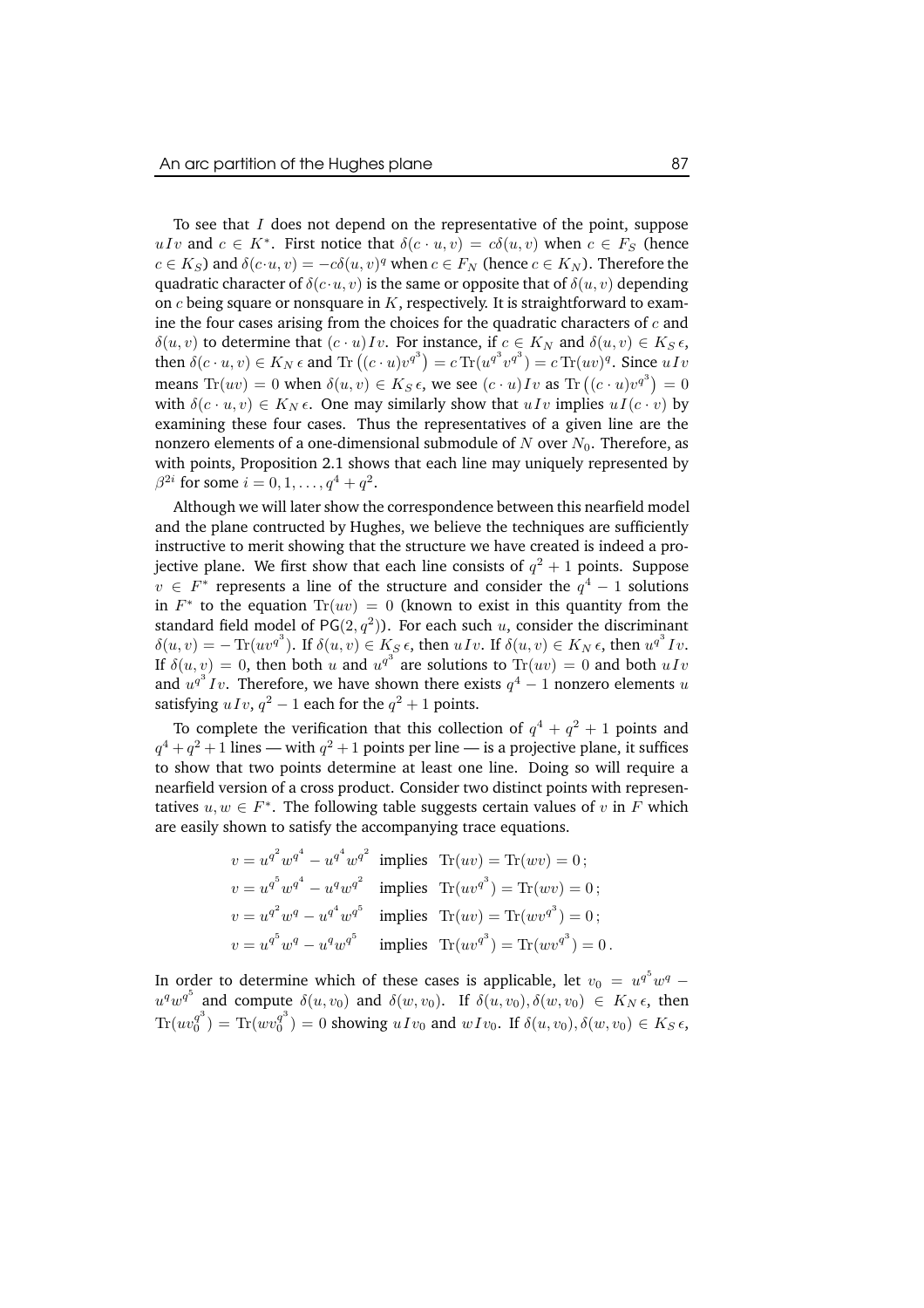To see that  $I$  does not depend on the representative of the point, suppose  $uIv$  and  $c \in K^*$ . First notice that  $\delta(c \cdot u, v) = c\delta(u, v)$  when  $c \in F_S$  (hence  $c \in K_S$ ) and  $\delta(c \cdot u, v) = -c\delta(u, v)^q$  when  $c \in F_N$  (hence  $c \in K_N$ ). Therefore the quadratic character of  $\delta(c \cdot u, v)$  is the same or opposite that of  $\delta(u, v)$  depending on  $c$  being square or nonsquare in  $K$ , respectively. It is straightforward to examine the four cases arising from the choices for the quadratic characters of  $c$  and  $\delta(u, v)$  to determine that  $(c \cdot u)Iv$ . For instance, if  $c \in K_N$  and  $\delta(u, v) \in K_S \epsilon$ , then  $\delta(c \cdot u, v) \in K_N \epsilon$  and  $\text{Tr}\left((c \cdot u)v^{q^3}\right) = c \text{Tr}(u^{q^3}v^{q^3}) = c \text{Tr}(uv)^q$ . Since  $uIv$ means  $\text{Tr}(uv) = 0$  when  $\delta(u, v) \in K_S \epsilon$ , we see  $(c \cdot u)Iv$  as  $\text{Tr}((c \cdot u)v^{q^3}) = 0$ with  $\delta(c \cdot u, v) \in K_N \epsilon$ . One may similarly show that  $uIv$  implies  $uI(c \cdot v)$  by examining these four cases. Thus the representatives of a given line are the nonzero elements of a one-dimensional submodule of N over  $N_0$ . Therefore, as with points, Proposition 2.1 shows that each line may uniquely represented by  $\beta^{2i}$  for some  $i = 0, 1, ..., q^4 + q^2$ .

Although we will later show the correspondence between this nearfield model and the plane contructed by Hughes, we believe the techniques are sufficiently instructive to merit showing that the structure we have created is indeed a projective plane. We first show that each line consists of  $q^2+1$  points. Suppose  $v \in F^*$  represents a line of the structure and consider the  $q^4 - 1$  solutions in  $F^*$  to the equation  $Tr(uv) = 0$  (known to exist in this quantity from the standard field model of PG $(2, q^2)$ ). For each such u, consider the discriminant  $\delta(u, v) = -\operatorname{Tr}(uv^{q^3})$ . If  $\delta(u, v) \in K_S \epsilon$ , then  $uIv$ . If  $\delta(u, v) \in K_N \epsilon$ , then  $u^{q^3}Iv$ . If  $\delta(u, v) = 0$ , then both u and  $u^{q^3}$  are solutions to  $\text{Tr}(uv) = 0$  and both  $uIv$ and  $u^{q^3} I v$ . Therefore, we have shown there exists  $q^4 - 1$  nonzero elements u satisfying  $uIv$ ,  $q^2-1$  each for the  $q^2+1$  points.

To complete the verification that this collection of  $q^4 + q^2 + 1$  points and  $q^4+q^2+1$  lines — with  $q^2+1$  points per line — is a projective plane, it suffices to show that two points determine at least one line. Doing so will require a nearfield version of a cross product. Consider two distinct points with representatives  $u, w \in F^*$ . The following table suggests certain values of  $v$  in  $F$  which are easily shown to satisfy the accompanying trace equations.

$$
v = u^{q^2}w^{q^4} - u^{q^4}w^{q^2}
$$
 implies  $\text{Tr}(uv) = \text{Tr}(wv) = 0$ ;  
\n
$$
v = u^{q^5}w^{q^4} - u^qw^{q^2}
$$
 implies  $\text{Tr}(uv^{q^3}) = \text{Tr}(wv) = 0$ ;  
\n
$$
v = u^{q^2}w^q - u^{q^4}w^{q^5}
$$
 implies  $\text{Tr}(uv) = \text{Tr}(wv^{q^3}) = 0$ ;  
\n
$$
v = u^{q^5}w^q - u^qw^{q^5}
$$
 implies  $\text{Tr}(uv^{q^3}) = \text{Tr}(wv^{q^3}) = 0$ .

In order to determine which of these cases is applicable, let  $v_0 = u^{q^5} w^q$  –  $u^q w^{q^5}$  and compute  $\delta(u, v_0)$  and  $\delta(w, v_0)$ . If  $\delta(u, v_0), \delta(w, v_0) \in K_N \epsilon$ , then  $\text{Tr}(uv_0^{q^3})$  $\binom{q^3}{0}$  = Tr(wv<sub>0</sub><sup>q3</sup>)  $\delta_0^{q^*}$ ) = 0 showing  $uIv_0$  and  $wIv_0$ . If  $\delta(u, v_0), \delta(w, v_0) \in K_S \epsilon$ ,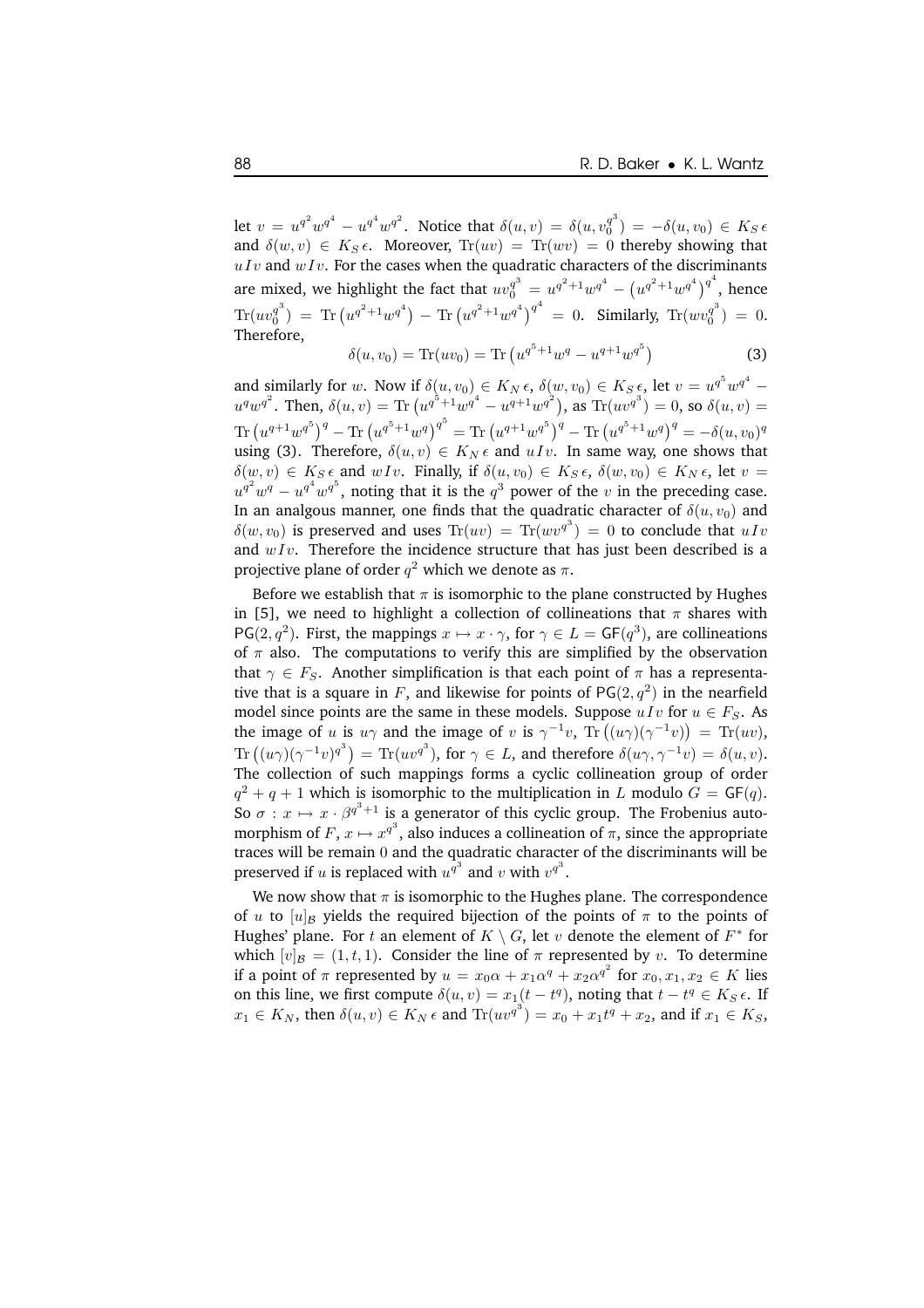let  $v = u^{q^2} w^{q^4} - u^{q^4} w^{q^2}$ . Notice that  $\delta(u, v) = \delta(u, v_0^{q^3})$  $\delta_0^q$ ) =  $-\delta(u, v_0) \in K_S \epsilon$ and  $\delta(w, v) \in K_S \epsilon$ . Moreover,  $Tr(uv) = Tr(wv) = 0$  thereby showing that  $uIv$  and  $wIv$ . For the cases when the quadratic characters of the discriminants are mixed, we highlight the fact that  $uv_0^{q^3} = u^{q^2+1}w^{q^4} - (u^{q^2+1}w^{q^4})^{q^4}$ , hence  $\text{Tr}(uv_0^{q^3})$  $\left( \begin{array}{c} q^3 \ 0 \end{array} \right) \; = \; \text{Tr} \left( u^{q^2+1} w^{q^4} \right)^{q^4} \; = \; 0. \quad \text{Similarly,} \; \text{Tr} \left( w v_0^{q^3} \right)$  $_{0}^{q^{2}}$  ) = 0. Therefore,

$$
\delta(u, v_0) = \text{Tr}(uv_0) = \text{Tr}\left(u^{q^5 + 1}w^q - u^{q+1}w^{q^5}\right)
$$
\n(3)

and similarly for w. Now if  $\delta(u, v_0) \in K_N \epsilon$ ,  $\delta(w, v_0) \in K_S \epsilon$ , let  $v = u^{q^5} w^{q^4}$  –  $u^q w^{q^2}$ . Then,  $\delta(u, v) = \text{Tr}\left(u^{q^5 + 1} w^{q^4} - u^{q + 1} w^{q^2}\right)$ , as  $\text{Tr}(uv^{q^3}) = 0$ , so  $\delta(u, v) =$  $\text{Tr}\left(u^{q+1}w^{q^5}\right)^q - \text{Tr}\left(u^{q^5+1}w^q\right)^{q^5} = \text{Tr}\left(u^{q+1}w^{q^5}\right)^q - \text{Tr}\left(u^{q^5+1}w^q\right)^q = -\delta(u,v_0)^q$ using (3). Therefore,  $\delta(u, v) \in K_N \epsilon$  and  $uIv$ . In same way, one shows that  $\delta(w, v) \in K_S \epsilon$  and wIv. Finally, if  $\delta(u, v_0) \in K_S \epsilon$ ,  $\delta(w, v_0) \in K_N \epsilon$ , let  $v =$  $u^{q^2}w^q - u^{q^4}w^{q^5}$ , noting that it is the  $q^3$  power of the v in the preceding case. In an analgous manner, one finds that the quadratic character of  $\delta(u, v_0)$  and  $\delta(w,v_0)$  is preserved and uses  $\text{Tr}(uv) \,=\, \text{Tr}(w v^{q^3}) \,=\, 0$  to conclude that  $u\,Iv$ and  $wIv$ . Therefore the incidence structure that has just been described is a projective plane of order  $q^2$  which we denote as  $\pi.$ 

Before we establish that  $\pi$  is isomorphic to the plane constructed by Hughes in [5], we need to highlight a collection of collineations that  $\pi$  shares with PG(2,  $q^2$ ). First, the mappings  $x \mapsto x \cdot \gamma$ , for  $\gamma \in L = \mathsf{GF}(q^3)$ , are collineations of  $\pi$  also. The computations to verify this are simplified by the observation that  $\gamma \in F_S$ . Another simplification is that each point of  $\pi$  has a representative that is a square in F, and likewise for points of PG $(2, q^2)$  in the nearfield model since points are the same in these models. Suppose  $uIv$  for  $u \in F_S$ . As the image of u is u $\gamma$  and the image of v is  $\gamma^{-1}v$ ,  $\text{Tr}\left((u\gamma)(\gamma^{-1}v)\right) = \text{Tr}(uv)$ ,  $\text{Tr}\left((u\gamma)(\gamma^{-1}v)^{q^3}\right) = \text{Tr}(uv^{q^3}), \text{ for } \gamma \in L, \text{ and therefore } \delta(u\gamma,\gamma^{-1}v) = \delta(u,v).$ The collection of such mappings forms a cyclic collineation group of order  $q^2 + q + 1$  which is isomorphic to the multiplication in L modulo  $G = GF(q)$ . So  $\sigma: x \mapsto x \cdot \beta^{q^3+1}$  is a generator of this cyclic group. The Frobenius automorphism of  $F$ ,  $x \mapsto x^{q^3}$ , also induces a collineation of  $\pi$ , since the appropriate traces will be remain 0 and the quadratic character of the discriminants will be preserved if  $u$  is replaced with  $u^{q^3}$  and  $v$  with  $v^{q^3}$ .

We now show that  $\pi$  is isomorphic to the Hughes plane. The correspondence of u to  $[u]_B$  yields the required bijection of the points of  $\pi$  to the points of Hughes' plane. For t an element of  $K \setminus G$ , let v denote the element of  $F^*$  for which  $[v]_B = (1, t, 1)$ . Consider the line of  $\pi$  represented by v. To determine if a point of  $\pi$  represented by  $u = x_0 \alpha + x_1 \alpha^q + x_2 \alpha^{q^2}$  for  $x_0, x_1, x_2 \in K$  lies on this line, we first compute  $\delta(u, v) = x_1(t - t^q)$ , noting that  $t - t^q \in K_S \epsilon$ . If  $x_1 \in K_N$ , then  $\delta(u, v) \in K_N \epsilon$  and  $\text{Tr}(uv^{q^3}) = x_0 + x_1t^q + x_2$ , and if  $x_1 \in K_S$ ,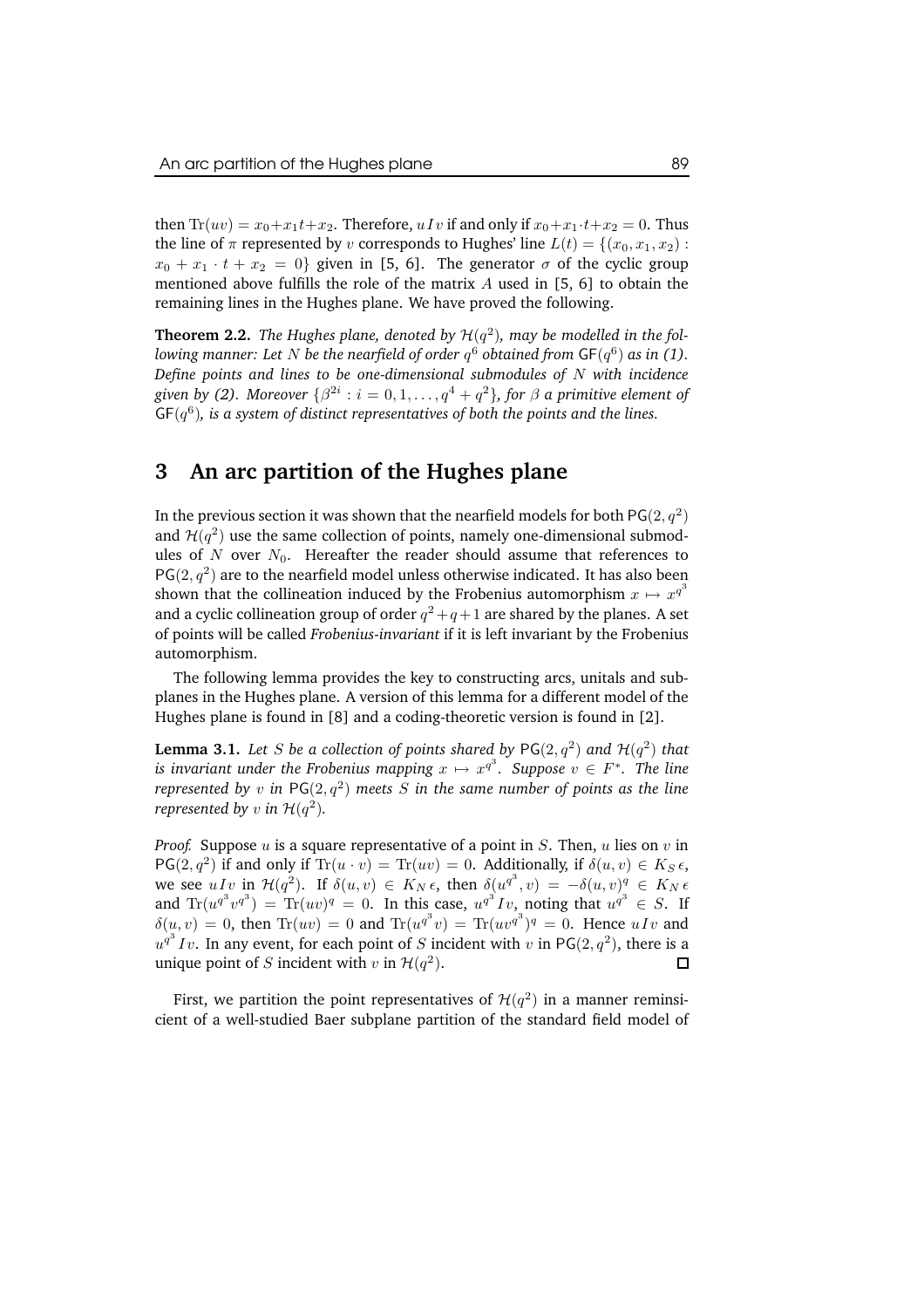then  $Tr(uv) = x_0 + x_1t + x_2$ . Therefore, u I v if and only if  $x_0 + x_1 \cdot t + x_2 = 0$ . Thus the line of  $\pi$  represented by v corresponds to Hughes' line  $L(t) = \{(x_0, x_1, x_2)$ :  $x_0 + x_1 \cdot t + x_2 = 0$  given in [5, 6]. The generator  $\sigma$  of the cyclic group mentioned above fulfills the role of the matrix A used in [5, 6] to obtain the remaining lines in the Hughes plane. We have proved the following.

**Theorem 2.2.** The Hughes plane, denoted by  $\mathcal{H}(q^2)$ , may be modelled in the fol $l$  *lowing manner: Let*  $N$  *be the nearfield of order*  $q^6$  *obtained from*  $\mathsf{GF}(q^6)$  *as in (1). Define points and lines to be one-dimensional submodules of* N *with incidence* given by (2). Moreover  $\{\beta^{2i}: i = 0, 1, \ldots, q^4 + q^2\},$  for  $\beta$  a primitive element of GF(q 6 )*, is a system of distinct representatives of both the points and the lines.*

### **3 An arc partition of the Hughes plane**

In the previous section it was shown that the nearfield models for both PG $(2,q^2)$ and  $\mathcal{H}(q^2)$  use the same collection of points, namely one-dimensional submodules of N over  $N_0$ . Hereafter the reader should assume that references to  $PG(2, q^2)$  are to the nearfield model unless otherwise indicated. It has also been shown that the collineation induced by the Frobenius automorphism  $x \mapsto x^{q^3}$ and a cyclic collineation group of order  $q^2+q+1$  are shared by the planes. A set of points will be called *Frobenius-invariant* if it is left invariant by the Frobenius automorphism.

The following lemma provides the key to constructing arcs, unitals and subplanes in the Hughes plane. A version of this lemma for a different model of the Hughes plane is found in [8] and a coding-theoretic version is found in [2].

**Lemma 3.1.** Let  $S$  be a collection of points shared by  $\mathsf{PG}(2,q^2)$  and  $\mathcal{H}(q^2)$  that *is invariant under the Frobenius mapping*  $x \mapsto x^{q^3}$ *. Suppose*  $v \in F^*$ *. The line represented by*  $v$  *in*  $\mathsf{PG}(2,q^2)$  *meets*  $S$  *<i>in the same number of points as the line represented by*  $v$  *in*  $\mathcal{H}(q^2)$ *.* 

*Proof.* Suppose u is a square representative of a point in S. Then, u lies on v in PG(2,  $q^2$ ) if and only if Tr( $u \cdot v$ ) = Tr( $uv$ ) = 0. Additionally, if  $\delta(u, v) \in K_S \epsilon$ , we see  $uI_v$  in  $\mathcal{H}(q^2)$ . If  $\delta(u,v) \in K_N \epsilon$ , then  $\delta(u^{q^3}, v) = -\delta(u,v)^q$   $\in K_N \epsilon$ and  $\text{Tr}(u^{q^3}v^{q^3}) = \text{Tr}(uv)^q = 0$ . In this case,  $u^{q^3}Iv$ , noting that  $u^{q^3} \in S$ . If  $\delta(u, v) = 0$ , then  $\text{Tr}(uv) = 0$  and  $\text{Tr}(u^{q^3}v) = \text{Tr}(uv^{q^3})^q = 0$ . Hence  $uIv$  and  $u^{q^3}Iv$ . In any event, for each point of S incident with v in PG(2,  $q^2$ ), there is a unique point of S incident with  $v$  in  $\mathcal{H}(q^2)$ .

First, we partition the point representatives of  $\mathcal{H}(q^2)$  in a manner reminsicient of a well-studied Baer subplane partition of the standard field model of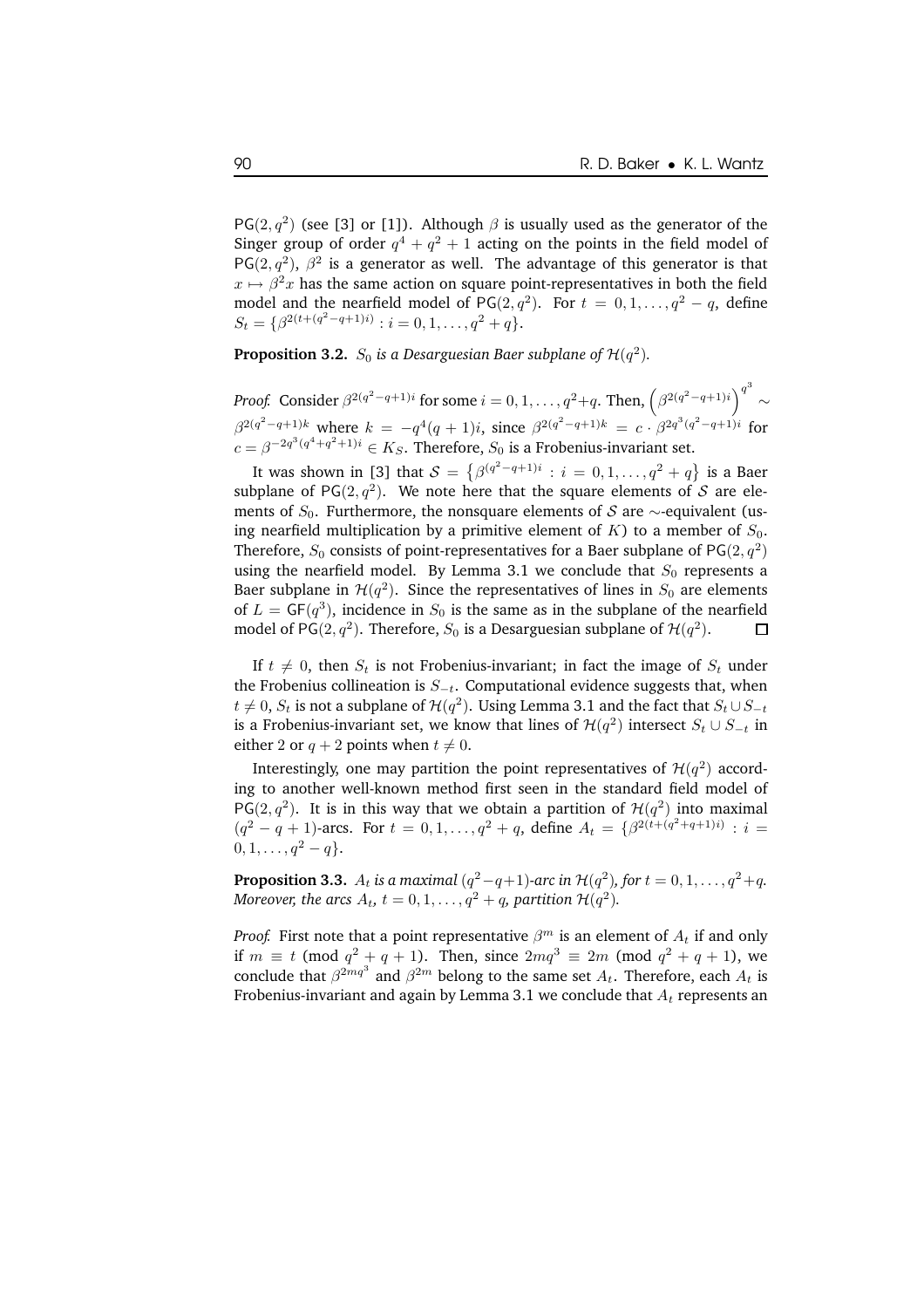PG(2,  $q^2$ ) (see [3] or [1]). Although  $\beta$  is usually used as the generator of the Singer group of order  $q^4 + q^2 + 1$  acting on the points in the field model of PG(2, $q^2$ ),  $\beta^2$  is a generator as well. The advantage of this generator is that  $x \mapsto \beta^2 x$  has the same action on square point-representatives in both the field model and the nearfield model of  $PG(2, q^2)$ . For  $t = 0, 1, ..., q^2 - q$ , define  $S_t = \{\beta^{2(t+(q^2-q+1)i)} : i = 0, 1, ..., q^2 + q\}.$ 

**Proposition 3.2.**  $S_0$  is a Desarguesian Baer subplane of  $\mathcal{H}(q^2)$ .

*Proof.* Consider  $\beta^{2(q^2-q+1)i}$  for some  $i=0,1,\ldots,q^2+q$ . Then,  $\left(\beta^{2(q^2-q+1)i}\right)^{q^3}$ ∼  $\beta^{2(q^2-q+1)k}$  where  $k = -q^4(q+1)i$ , since  $\beta^{2(q^2-q+1)k} = c \cdot \beta^{2q^3(q^2-q+1)i}$  for  $c = \beta^{-2q^3(q^4+q^2+1)i} \in K_S$ . Therefore,  $S_0$  is a Frobenius-invariant set.

It was shown in [3] that  $S = \left\{ \beta^{(q^2-q+1)i} : i = 0, 1, ..., q^2 + q \right\}$  is a Baer subplane of  $PG(2, q^2)$ . We note here that the square elements of S are elements of  $S_0$ . Furthermore, the nonsquare elements of S are ∼-equivalent (using nearfield multiplication by a primitive element of  $K$ ) to a member of  $S_0$ . Therefore,  $S_0$  consists of point-representatives for a Baer subplane of  $\mathsf{PG}(2,q^2)$ using the nearfield model. By Lemma 3.1 we conclude that  $S_0$  represents a Baer subplane in  $\mathcal{H}(q^2)$ . Since the representatives of lines in  $S_0$  are elements of  $L = \mathsf{GF}(q^3)$ , incidence in  $S_0$  is the same as in the subplane of the nearfield model of PG(2, $q^2$ ). Therefore,  $S_0$  is a Desarguesian subplane of  $\mathcal{H}(q^2)$ .  $\Box$ 

If  $t \neq 0$ , then  $S_t$  is not Frobenius-invariant; in fact the image of  $S_t$  under the Frobenius collineation is  $S_{-t}$ . Computational evidence suggests that, when  $t \neq 0$ ,  $S_t$  is not a subplane of  $\mathcal{H}(q^2)$ . Using Lemma 3.1 and the fact that  $S_t \cup S_{-t}$ is a Frobenius-invariant set, we know that lines of  $\mathcal{H}(q^2)$  intersect  $S_t \cup S_{-t}$  in either 2 or  $q + 2$  points when  $t \neq 0$ .

Interestingly, one may partition the point representatives of  $\mathcal{H}(q^2)$  according to another well-known method first seen in the standard field model of PG(2,  $q^2$ ). It is in this way that we obtain a partition of  $\mathcal{H}(q^2)$  into maximal  $(q^2 - q + 1)$ -arcs. For  $t = 0, 1, ..., q^2 + q$ , define  $A_t = \{ \beta^{2(t + (q^2 + q + 1)i}) : i =$  $0, 1, \ldots, q^2 - q$ .

**Proposition 3.3.**  $A_t$  is a maximal  $(q^2 - q + 1)$ -arc in  $\mathcal{H}(q^2)$ , for  $t = 0, 1, ..., q^2 + q$ . *Moreover, the arcs*  $A_t$ ,  $t = 0, 1, ..., q^2 + q$ , partition  $\mathcal{H}(q^2)$ .

*Proof.* First note that a point representative  $\beta^m$  is an element of  $A_t$  if and only if  $m \equiv t \pmod{q^2 + q + 1}$ . Then, since  $2mq^3 \equiv 2m \pmod{q^2 + q + 1}$ , we conclude that  $\beta^{2mq^3}$  and  $\beta^{2m}$  belong to the same set  $A_t$ . Therefore, each  $A_t$  is Frobenius-invariant and again by Lemma 3.1 we conclude that  $A_t$  represents an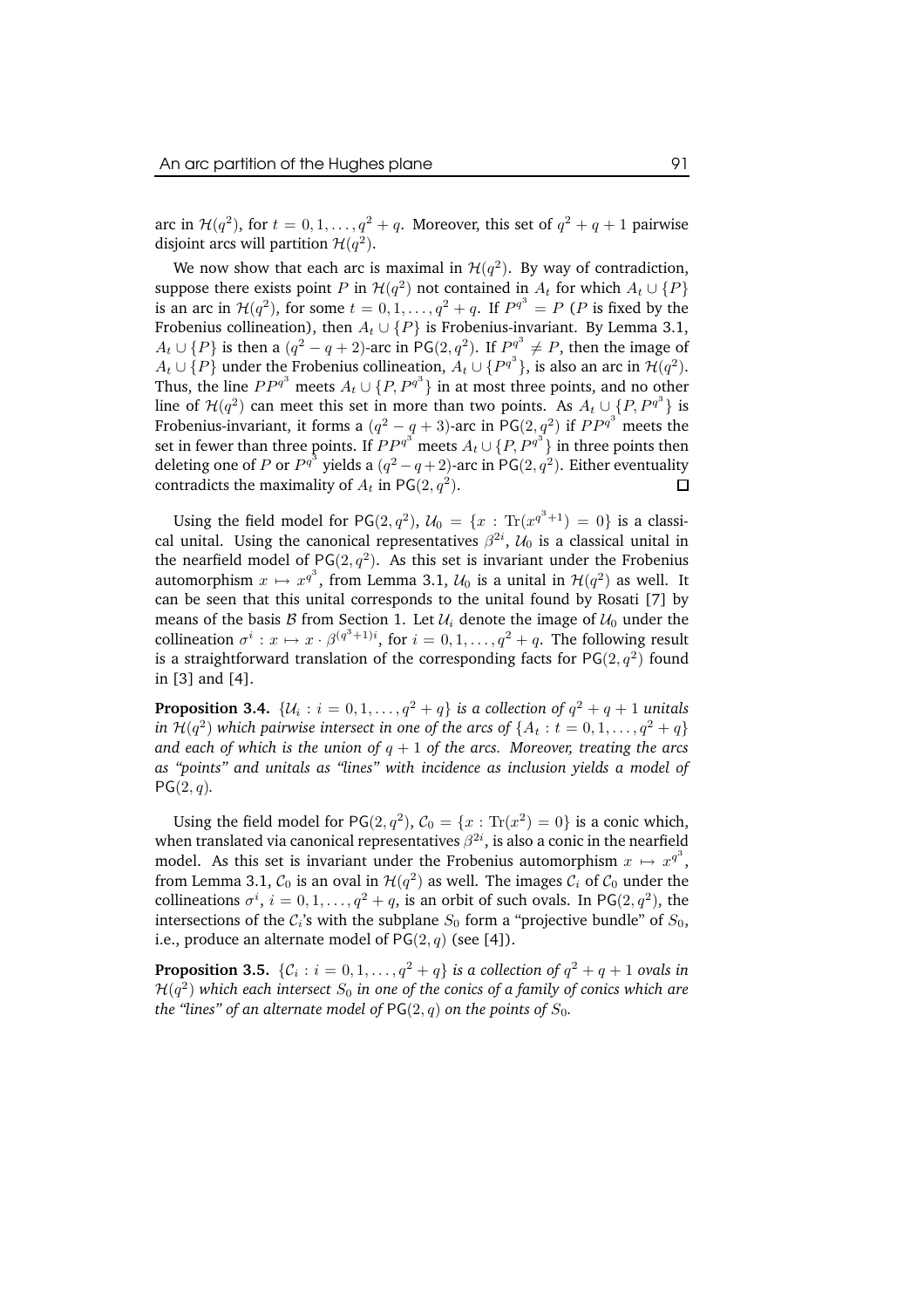arc in  $\mathcal{H}(q^2)$ , for  $t = 0, 1, ..., q^2 + q$ . Moreover, this set of  $q^2 + q + 1$  pairwise disjoint arcs will partition  $\mathcal{H}(q^2)$ .

We now show that each arc is maximal in  $\mathcal{H}(q^2)$ . By way of contradiction, suppose there exists point P in  $\mathcal{H}(q^2)$  not contained in  $A_t$  for which  $A_t \cup \{P\}$ is an arc in  $H(q^2)$ , for some  $t = 0, 1, ..., q^2 + q$ . If  $P^{q^3} = P$  (P is fixed by the Frobenius collineation), then  $A_t \cup \{P\}$  is Frobenius-invariant. By Lemma 3.1,  $A_t \cup \{P\}$  is then a  $(q^2 - q + 2)$ -arc in PG(2,  $q^2$ ). If  $P_q^q \neq P$ , then the image of  $A_t \cup \{P\}$  under the Frobenius collineation,  $A_t \cup \{P^{q^3}\}\$ , is also an arc in  $\mathcal{H}(q^2)$ . Thus, the line  $PP^{q^3}$  meets  $A_t \cup \{P, P^{q^3}\}\$ in at most three points, and no other line of  $\mathcal{H}(q^2)$  can meet this set in more than two points. As  $A_t \cup {}_{3} \{P, P^{q^3}\}\)$  is Frobenius-invariant, it forms a  $(q^2 - q + 3)$ -arc in PG(2, $q^2$ ) if  $PPq^3$  meets the set in fewer than three points. If  $PPq^3$  meets  $A_t \cup \{P, Pq^3\}$  in three points then deleting one of  $P$  or  $P^{q^3}$  yields a  $(q^2-q+2)$ -arc in  $\mathsf{PG}(2,q^2)$ . Either eventuality contradicts the maximality of  $A_t$  in PG $(2,q^2)$ .  $\Box$ 

Using the field model for PG(2,  $q^2$ ),  $U_0 = \{x : \text{Tr}(x^{q^3+1}) = 0\}$  is a classical unital. Using the canonical representatives  $\beta^{2i}$ ,  $\mathcal{U}_0$  is a classical unital in the nearfield model of  $PG(2, q^2)$ . As this set is invariant under the Frobenius automorphism  $x \mapsto x^{q^3}$ , from Lemma 3.1,  $\mathcal{U}_0$  is a unital in  $\mathcal{H}(q^2)$  as well. It can be seen that this unital corresponds to the unital found by Rosati [7] by means of the basis B from Section 1. Let  $\mathcal{U}_i$  denote the image of  $\mathcal{U}_0$  under the collineation  $\sigma^i$  :  $x \mapsto x \cdot \beta^{(q^3+1)i}$ , for  $i = 0, 1, ..., q^2 + q$ . The following result is a straightforward translation of the corresponding facts for  $\mathsf{PG}(2,q^2)$  found in [3] and [4].

**Proposition 3.4.**  $\{U_i : i = 0, 1, \ldots, q^2 + q\}$  *is a collection of*  $q^2 + q + 1$  *unitals in*  $\mathcal{H}(q^2)$  *which pairwise intersect in one of the arcs of*  $\{A_t : t = 0, 1, \ldots, q^2 + q\}$ *and each of which is the union of* q + 1 *of the arcs. Moreover, treating the arcs as "points" and unitals as "lines" with incidence as inclusion yields a model of*  $PG(2, q)$ .

Using the field model for PG(2,  $q^2$ ),  $C_0 = \{x : \text{Tr}(x^2) = 0\}$  is a conic which, when translated via canonical representatives  $\beta^{2i}$ , is also a conic in the nearfield model. As this set is invariant under the Frobenius automorphism  $x \mapsto x^{q^3}$ , from Lemma 3.1,  $C_0$  is an oval in  $\mathcal{H}(q^2)$  as well. The images  $C_i$  of  $C_0$  under the collineations  $\sigma^i$ ,  $i = 0, 1, \ldots, q^2 + q$ , is an orbit of such ovals. In PG(2,  $q^2$ ), the intersections of the  $C_i$ 's with the subplane  $S_0$  form a "projective bundle" of  $S_0$ , i.e., produce an alternate model of  $PG(2, q)$  (see [4]).

**Proposition 3.5.**  $\{\mathcal{C}_i : i = 0, 1, \ldots, q^2 + q\}$  *is a collection of*  $q^2 + q + 1$  *ovals in*  $\mathcal{H}(q^2)$  which each intersect  $S_0$  in one of the conics of a family of conics which are *the "lines" of an alternate model of*  $PG(2, q)$  *on the points of*  $S_0$ *.*